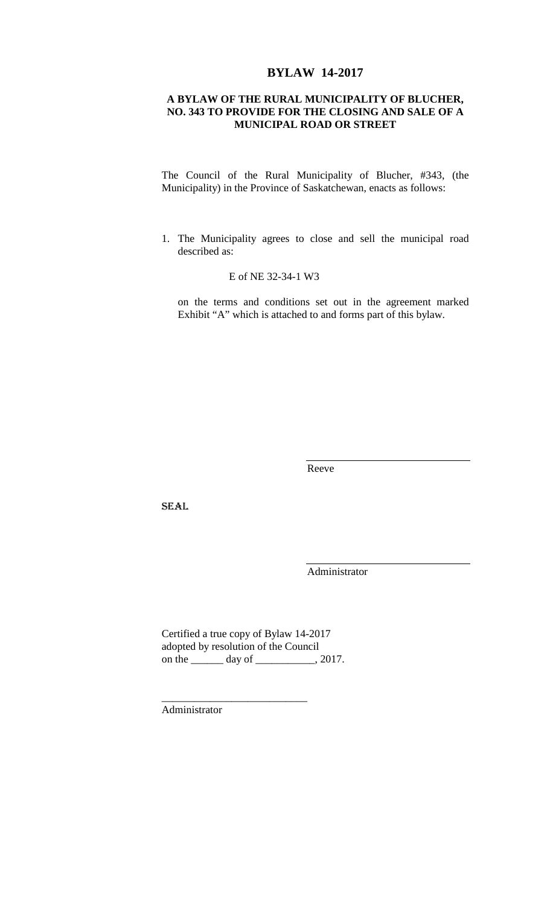# **BYLAW 14-2017**

## **A BYLAW OF THE RURAL MUNICIPALITY OF BLUCHER, NO. 343 TO PROVIDE FOR THE CLOSING AND SALE OF A MUNICIPAL ROAD OR STREET**

The Council of the Rural Municipality of Blucher, #343, (the Municipality) in the Province of Saskatchewan, enacts as follows:

1. The Municipality agrees to close and sell the municipal road described as:

## E of NE 32-34-1 W3

on the terms and conditions set out in the agreement marked Exhibit "A" which is attached to and forms part of this bylaw.

Reeve

SEAL

Administrator

Certified a true copy of Bylaw 14-2017 adopted by resolution of the Council on the \_\_\_\_\_\_ day of \_\_\_\_\_\_\_\_\_, 2017.

\_\_\_\_\_\_\_\_\_\_\_\_\_\_\_\_\_\_\_\_\_\_\_\_\_\_\_

Administrator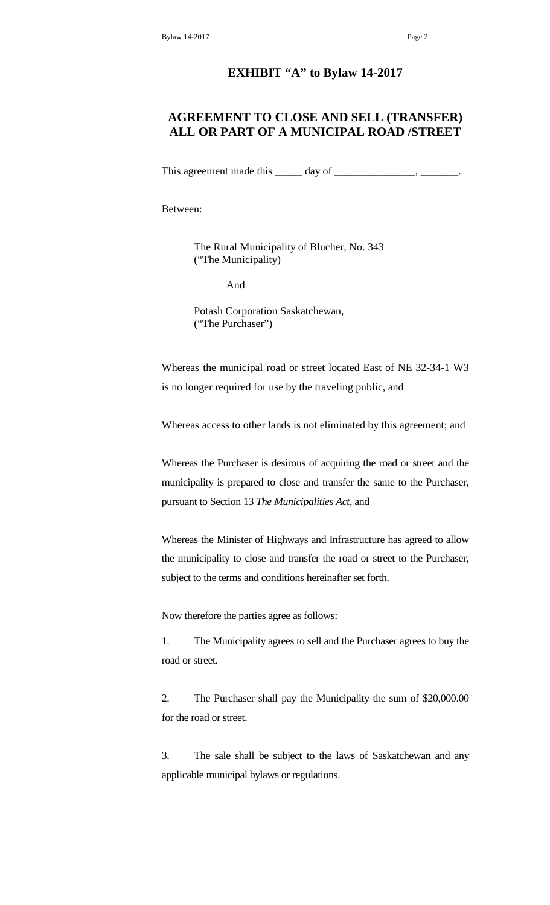#### **EXHIBIT "A" to Bylaw 14-2017**

# **AGREEMENT TO CLOSE AND SELL (TRANSFER) ALL OR PART OF A MUNICIPAL ROAD /STREET**

This agreement made this \_\_\_\_\_\_ day of \_\_\_\_\_\_\_\_\_\_\_\_\_\_\_\_, \_\_\_

Between:

The Rural Municipality of Blucher, No. 343 ("The Municipality)

And

Potash Corporation Saskatchewan, ("The Purchaser")

Whereas the municipal road or street located East of NE 32-34-1 W3 is no longer required for use by the traveling public, and

Whereas access to other lands is not eliminated by this agreement; and

Whereas the Purchaser is desirous of acquiring the road or street and the municipality is prepared to close and transfer the same to the Purchaser, pursuant to Section 13 *The Municipalities Act,* and

Whereas the Minister of Highways and Infrastructure has agreed to allow the municipality to close and transfer the road or street to the Purchaser, subject to the terms and conditions hereinafter set forth.

Now therefore the parties agree as follows:

1. The Municipality agrees to sell and the Purchaser agrees to buy the road or street.

2. The Purchaser shall pay the Municipality the sum of \$20,000.00 for the road or street.

3. The sale shall be subject to the laws of Saskatchewan and any applicable municipal bylaws or regulations.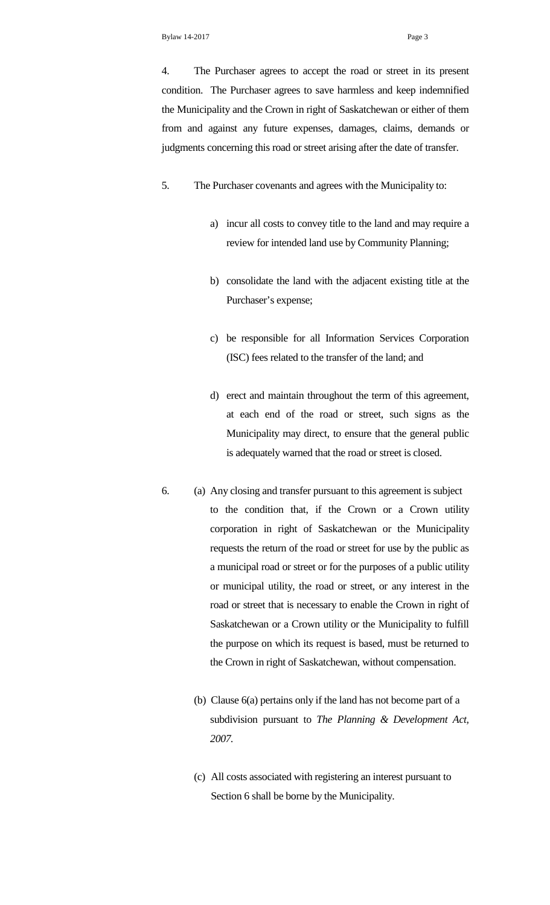4. The Purchaser agrees to accept the road or street in its present condition. The Purchaser agrees to save harmless and keep indemnified the Municipality and the Crown in right of Saskatchewan or either of them from and against any future expenses, damages, claims, demands or judgments concerning this road or street arising after the date of transfer.

- 5. The Purchaser covenants and agrees with the Municipality to:
	- a) incur all costs to convey title to the land and may require a review for intended land use by Community Planning;
	- b) consolidate the land with the adjacent existing title at the Purchaser's expense;
	- c) be responsible for all Information Services Corporation (ISC) fees related to the transfer of the land; and
	- d) erect and maintain throughout the term of this agreement, at each end of the road or street, such signs as the Municipality may direct, to ensure that the general public is adequately warned that the road or street is closed.
- 6. (a) Any closing and transfer pursuant to this agreement is subject to the condition that, if the Crown or a Crown utility corporation in right of Saskatchewan or the Municipality requests the return of the road or street for use by the public as a municipal road or street or for the purposes of a public utility or municipal utility, the road or street, or any interest in the road or street that is necessary to enable the Crown in right of Saskatchewan or a Crown utility or the Municipality to fulfill the purpose on which its request is based, must be returned to the Crown in right of Saskatchewan, without compensation.
	- (b) Clause 6(a) pertains only if the land has not become part of a subdivision pursuant to *The Planning & Development Act, 2007.*
	- (c) All costs associated with registering an interest pursuant to Section 6 shall be borne by the Municipality.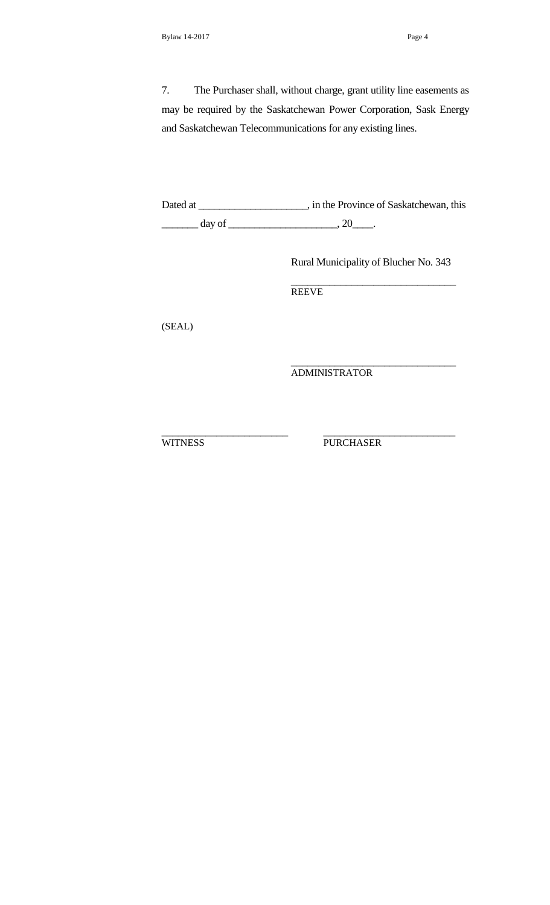7. The Purchaser shall, without charge, grant utility line easements as may be required by the Saskatchewan Power Corporation, Sask Energy and Saskatchewan Telecommunications for any existing lines.

Dated at \_\_\_\_\_\_\_\_\_\_\_\_\_\_\_\_\_\_\_\_\_, in the Province of Saskatchewan, this  $\frac{day \text{ of } (x,y) \text{ of } (x,y) \text{ of } (x,y) \text{ of } (x,y) \text{ of } (x,y) \text{ of } (x,y) \text{ of } (x,y) \text{ of } (x,y) \text{ of } (x,y) \text{ of } (x,y) \text{ of } (x,y) \text{ of } (x,y) \text{ of } (x,y) \text{ of } (x,y) \text{ of } (x,y) \text{ of } (x,y) \text{ of } (x,y) \text{ of } (x,y) \text{ of } (x,y) \text{ of } (x,y) \text{ of } (x,y) \text{ of } (x,y) \text{ of } (x,y) \text{ of } (x,y)$ 

Rural Municipality of Blucher No. 343

\_\_\_\_\_\_\_\_\_\_\_\_\_\_\_\_\_\_\_\_\_\_\_\_\_\_\_\_\_\_

\_\_\_\_\_\_\_\_\_\_\_\_\_\_\_\_\_\_\_\_\_\_\_\_\_\_\_\_\_\_

**REEVE** 

(SEAL)

ADMINISTRATOR

\_\_\_\_\_\_\_\_\_\_\_\_\_\_\_\_\_\_\_\_\_\_\_ \_\_\_\_\_\_\_\_\_\_\_\_\_\_\_\_\_\_\_\_\_\_\_\_ WITNESS PURCHASER